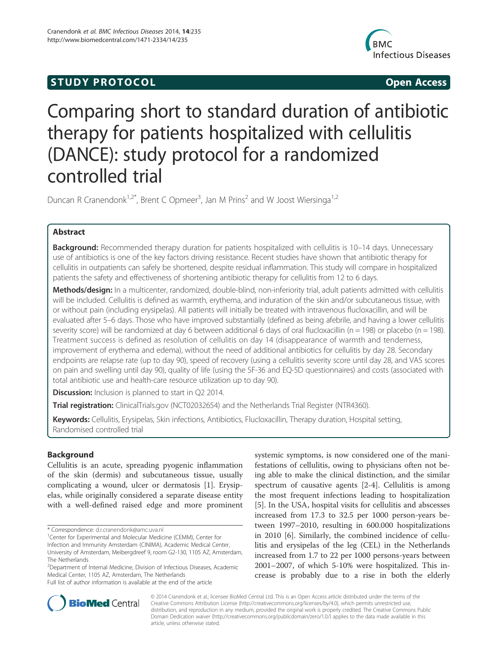# S TUDY PROTOCOL AND RESERVE THE STUDY PROTOCOL



# Comparing short to standard duration of antibiotic therapy for patients hospitalized with cellulitis (DANCE): study protocol for a randomized controlled trial

Duncan R Cranendonk<sup>1,2\*</sup>, Brent C Opmeer<sup>3</sup>, Jan M Prins<sup>2</sup> and W Joost Wiersinga<sup>1,2</sup>

# Abstract

Background: Recommended therapy duration for patients hospitalized with cellulitis is 10–14 days. Unnecessary use of antibiotics is one of the key factors driving resistance. Recent studies have shown that antibiotic therapy for cellulitis in outpatients can safely be shortened, despite residual inflammation. This study will compare in hospitalized patients the safety and effectiveness of shortening antibiotic therapy for cellulitis from 12 to 6 days.

Methods/design: In a multicenter, randomized, double-blind, non-inferiority trial, adult patients admitted with cellulitis will be included. Cellulitis is defined as warmth, erythema, and induration of the skin and/or subcutaneous tissue, with or without pain (including erysipelas). All patients will initially be treated with intravenous flucloxacillin, and will be evaluated after 5–6 days. Those who have improved substantially (defined as being afebrile, and having a lower cellulitis severity score) will be randomized at day 6 between additional 6 days of oral flucloxacillin ( $n = 198$ ) or placebo ( $n = 198$ ). Treatment success is defined as resolution of cellulitis on day 14 (disappearance of warmth and tenderness, improvement of erythema and edema), without the need of additional antibiotics for cellulitis by day 28. Secondary endpoints are relapse rate (up to day 90), speed of recovery (using a cellulitis severity score until day 28, and VAS scores on pain and swelling until day 90), quality of life (using the SF-36 and EQ-5D questionnaires) and costs (associated with total antibiotic use and health-care resource utilization up to day 90).

**Discussion:** Inclusion is planned to start in Q2 2014.

**Trial registration:** ClinicalTrials.gov (NCT02032654) and the Netherlands Trial Register (NTR4360).

Keywords: Cellulitis, Erysipelas, Skin infections, Antibiotics, Flucloxacillin, Therapy duration, Hospital setting, Randomised controlled trial

# Background

Cellulitis is an acute, spreading pyogenic inflammation of the skin (dermis) and subcutaneous tissue, usually complicating a wound, ulcer or dermatosis [1]. Erysipelas, while originally considered a separate disease entity with a well-defined raised edge and more prominent

<sup>1</sup> Center for Experimental and Molecular Medicine (CEMM), Center for Infection and Immunity Amsterdam (CINIMA), Academic Medical Center, University of Amsterdam, Meibergdreef 9, room G2-130, 1105 AZ, Amsterdam, The Netherlands

Full list of author information is available at the end of the article

systemic symptoms, is now considered one of the manifestations of cellulitis, owing to physicians often not being able to make the clinical distinction, and the similar spectrum of causative agents [2-4]. Cellulitis is among the most frequent infections leading to hospitalization [5]. In the USA, hospital visits for cellulitis and abscesses increased from 17.3 to 32.5 per 1000 person-years between 1997–2010, resulting in 600.000 hospitalizations in 2010 [6]. Similarly, the combined incidence of cellulitis and erysipelas of the leg (CEL) in the Netherlands increased from 1.7 to 22 per 1000 persons-years between 2001–2007, of which 5-10% were hospitalized. This increase is probably due to a rise in both the elderly



© 2014 Cranendonk et al.; licensee BioMed Central Ltd. This is an Open Access article distributed under the terms of the Creative Commons Attribution License (http://creativecommons.org/licenses/by/4.0), which permits unrestricted use, distribution, and reproduction in any medium, provided the original work is properly credited. The Creative Commons Public Domain Dedication waiver (http://creativecommons.org/publicdomain/zero/1.0/) applies to the data made available in this article, unless otherwise stated.

<sup>\*</sup> Correspondence: d.r.cranendonk@amc.uva.nl <sup>1</sup>

<sup>&</sup>lt;sup>2</sup>Department of Internal Medicine, Division of Infectious Diseases, Academic Medical Center, 1105 AZ, Amsterdam, The Netherlands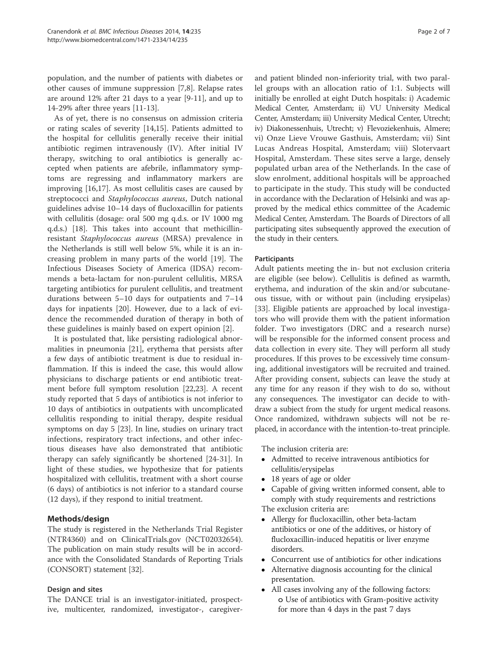population, and the number of patients with diabetes or other causes of immune suppression [7,8]. Relapse rates are around 12% after 21 days to a year [9-11], and up to 14-29% after three years [11-13].

As of yet, there is no consensus on admission criteria or rating scales of severity [14,15]. Patients admitted to the hospital for cellulitis generally receive their initial antibiotic regimen intravenously (IV). After initial IV therapy, switching to oral antibiotics is generally accepted when patients are afebrile, inflammatory symptoms are regressing and inflammatory markers are improving [16,17]. As most cellulitis cases are caused by streptococci and *Staphylococcus aureus*, Dutch national guidelines advise 10–14 days of flucloxacillin for patients with cellulitis (dosage: oral 500 mg q.d.s. or IV 1000 mg q.d.s.) [18]. This takes into account that methicillinresistant Staphylococcus aureus (MRSA) prevalence in the Netherlands is still well below 5%, while it is an increasing problem in many parts of the world [19]. The Infectious Diseases Society of America (IDSA) recommends a beta-lactam for non-purulent cellulitis, MRSA targeting antibiotics for purulent cellulitis, and treatment durations between 5–10 days for outpatients and 7–14 days for inpatients [20]. However, due to a lack of evidence the recommended duration of therapy in both of these guidelines is mainly based on expert opinion [2].

It is postulated that, like persisting radiological abnormalities in pneumonia [21], erythema that persists after a few days of antibiotic treatment is due to residual inflammation. If this is indeed the case, this would allow physicians to discharge patients or end antibiotic treatment before full symptom resolution [22,23]. A recent study reported that 5 days of antibiotics is not inferior to 10 days of antibiotics in outpatients with uncomplicated cellulitis responding to initial therapy, despite residual symptoms on day 5 [23]. In line, studies on urinary tract infections, respiratory tract infections, and other infectious diseases have also demonstrated that antibiotic therapy can safely significantly be shortened [24-31]. In light of these studies, we hypothesize that for patients hospitalized with cellulitis, treatment with a short course (6 days) of antibiotics is not inferior to a standard course (12 days), if they respond to initial treatment.

# Methods/design

The study is registered in the Netherlands Trial Register (NTR4360) and on ClinicalTrials.gov (NCT02032654). The publication on main study results will be in accordance with the Consolidated Standards of Reporting Trials (CONSORT) statement [32].

# Design and sites

The DANCE trial is an investigator-initiated, prospective, multicenter, randomized, investigator-, caregiver-

and patient blinded non-inferiority trial, with two parallel groups with an allocation ratio of 1:1. Subjects will initially be enrolled at eight Dutch hospitals: i) Academic Medical Center, Amsterdam; ii) VU University Medical Center, Amsterdam; iii) University Medical Center, Utrecht; iv) Diakonessenhuis, Utrecht; v) Flevoziekenhuis, Almere; vi) Onze Lieve Vrouwe Gasthuis, Amsterdam; vii) Sint Lucas Andreas Hospital, Amsterdam; viii) Slotervaart Hospital, Amsterdam. These sites serve a large, densely populated urban area of the Netherlands. In the case of slow enrolment, additional hospitals will be approached to participate in the study. This study will be conducted in accordance with the Declaration of Helsinki and was approved by the medical ethics committee of the Academic Medical Center, Amsterdam. The Boards of Directors of all participating sites subsequently approved the execution of the study in their centers.

# Participants

Adult patients meeting the in- but not exclusion criteria are eligible (see below). Cellulitis is defined as warmth, erythema, and induration of the skin and/or subcutaneous tissue, with or without pain (including erysipelas) [33]. Eligible patients are approached by local investigators who will provide them with the patient information folder. Two investigators (DRC and a research nurse) will be responsible for the informed consent process and data collection in every site. They will perform all study procedures. If this proves to be excessively time consuming, additional investigators will be recruited and trained. After providing consent, subjects can leave the study at any time for any reason if they wish to do so, without any consequences. The investigator can decide to withdraw a subject from the study for urgent medical reasons. Once randomized, withdrawn subjects will not be replaced, in accordance with the intention-to-treat principle.

The inclusion criteria are:

- - Admitted to receive intravenous antibiotics for cellulitis/erysipelas
- 18 years of age or older
- $\bullet$  Capable of giving written informed consent, able to comply with study requirements and restrictions

The exclusion criteria are:

- Allergy for flucloxacillin, other beta-lactam antibiotics or one of the additives, or history of flucloxacillin-induced hepatitis or liver enzyme disorders.
- Concurrent use of antibiotics for other indications
- Alternative diagnosis accounting for the clinical presentation.
- All cases involving any of the following factors: o Use of antibiotics with Gram-positive activity for more than 4 days in the past 7 days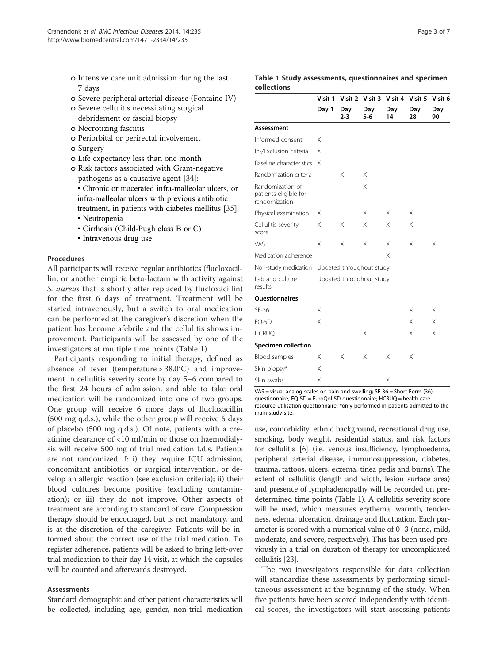- o Intensive care unit admission during the last 7 days
- o Severe peripheral arterial disease (Fontaine IV)
- o Severe cellulitis necessitating surgical debridement or fascial biopsy
- o Necrotizing fasciitis
- o Periorbital or perirectal involvement
- o Surgery
- o Life expectancy less than one month
- o Risk factors associated with Gram-negative pathogens as a causative agent [34]:
- Chronic or macerated infra-malleolar ulcers, or infra-malleolar ulcers with previous antibiotic treatment, in patients with diabetes mellitus [35]. • Neutropenia
- 
- Cirrhosis (Child-Pugh class B or C)
- Intravenous drug use

# Procedures

All participants will receive regular antibiotics (flucloxacillin, or another empiric beta-lactam with activity against S. aureus that is shortly after replaced by flucloxacillin) for the first 6 days of treatment. Treatment will be started intravenously, but a switch to oral medication can be performed at the caregiver's discretion when the patient has become afebrile and the cellulitis shows improvement. Participants will be assessed by one of the investigators at multiple time points (Table 1).

Participants responding to initial therapy, defined as absence of fever (temperature  $> 38.0^{\circ}$ C) and improvement in cellulitis severity score by day 5–6 compared to the first 24 hours of admission, and able to take oral medication will be randomized into one of two groups. One group will receive 6 more days of flucloxacillin (500 mg q.d.s.), while the other group will receive 6 days of placebo (500 mg q.d.s.). Of note, patients with a creatinine clearance of <10 ml/min or those on haemodialysis will receive 500 mg of trial medication t.d.s. Patients are not randomized if: i) they require ICU admission, concomitant antibiotics, or surgical intervention, or develop an allergic reaction (see exclusion criteria); ii) their blood cultures become positive (excluding contamination); or iii) they do not improve. Other aspects of treatment are according to standard of care. Compression therapy should be encouraged, but is not mandatory, and is at the discretion of the caregiver. Patients will be informed about the correct use of the trial medication. To register adherence, patients will be asked to bring left-over trial medication to their day 14 visit, at which the capsules will be counted and afterwards destroyed.

#### Assessments

Standard demographic and other patient characteristics will be collected, including age, gender, non-trial medication

|             |  | Table 1 Study assessments, questionnaires and specimen |  |
|-------------|--|--------------------------------------------------------|--|
| collections |  |                                                        |  |

|                                                            | Visit 1                  | Visit 2        | Visit 3                  | Visit 4   | Visit 5   | Visit 6   |
|------------------------------------------------------------|--------------------------|----------------|--------------------------|-----------|-----------|-----------|
|                                                            | Day 1                    | Day<br>$2 - 3$ | Day<br>$5 - 6$           | Day<br>14 | Day<br>28 | Day<br>90 |
| <b>Assessment</b>                                          |                          |                |                          |           |           |           |
| Informed consent                                           | X                        |                |                          |           |           |           |
| In-/Exclusion criteria                                     | Χ                        |                |                          |           |           |           |
| Baseline characteristics                                   | X                        |                |                          |           |           |           |
| Randomization criteria                                     |                          | Χ              | X                        |           |           |           |
| Randomization of<br>patients eligible for<br>randomization |                          |                | X                        |           |           |           |
| Physical examination                                       | X                        |                | X                        | X         | X         |           |
| Cellulitis severity<br>score                               | X                        | X              | X                        | X         | X         |           |
| VAS                                                        | X                        | X              | X                        | X         | X         | Χ         |
| Medication adherence                                       |                          |                |                          | X         |           |           |
| Non-study medication                                       |                          |                | Updated throughout study |           |           |           |
| Lab and culture<br>results                                 | Updated throughout study |                |                          |           |           |           |
| <b>Questionnaires</b>                                      |                          |                |                          |           |           |           |
| SF-36                                                      | Χ                        |                |                          |           | X         | Χ         |
| EQ-5D                                                      | Χ                        |                |                          |           | X         | Χ         |
| <b>HCRUQ</b>                                               |                          |                | X                        |           | X         | Χ         |
| <b>Specimen collection</b>                                 |                          |                |                          |           |           |           |
| Blood samples                                              | Χ                        | X              | X                        | X         | X         |           |
| Skin biopsy*                                               | Χ                        |                |                          |           |           |           |
| Skin swabs                                                 | Χ                        |                |                          | Χ         |           |           |

VAS = visual analog scales on pain and swelling; SF-36 = Short Form (36) questionnaire; EQ-5D = EuroQol-5D questionnaire; HCRUQ = health-care resource utilisation questionnaire. \*only performed in patients admitted to the main study site.

use, comorbidity, ethnic background, recreational drug use, smoking, body weight, residential status, and risk factors for cellulitis [6] (i.e. venous insufficiency, lymphoedema, peripheral arterial disease, immunosuppression, diabetes, trauma, tattoos, ulcers, eczema, tinea pedis and burns). The extent of cellulitis (length and width, lesion surface area) and presence of lymphadenopathy will be recorded on predetermined time points (Table 1). A cellulitis severity score will be used, which measures erythema, warmth, tenderness, edema, ulceration, drainage and fluctuation. Each parameter is scored with a numerical value of 0–3 (none, mild, moderate, and severe, respectively). This has been used previously in a trial on duration of therapy for uncomplicated cellulitis [23].

The two investigators responsible for data collection will standardize these assessments by performing simultaneous assessment at the beginning of the study. When five patients have been scored independently with identical scores, the investigators will start assessing patients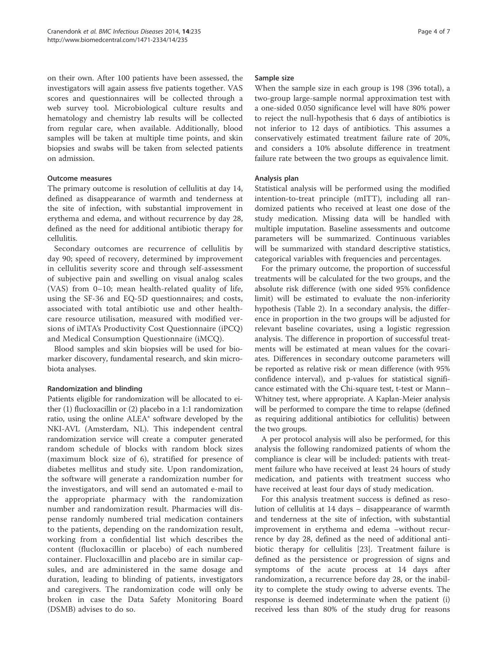on their own. After 100 patients have been assessed, the investigators will again assess five patients together. VAS scores and questionnaires will be collected through a web survey tool. Microbiological culture results and hematology and chemistry lab results will be collected from regular care, when available. Additionally, blood samples will be taken at multiple time points, and skin biopsies and swabs will be taken from selected patients on admission.

# Outcome measures

The primary outcome is resolution of cellulitis at day 14, defined as disappearance of warmth and tenderness at the site of infection, with substantial improvement in erythema and edema, and without recurrence by day 28, defined as the need for additional antibiotic therapy for cellulitis.

Secondary outcomes are recurrence of cellulitis by day 90; speed of recovery, determined by improvement in cellulitis severity score and through self-assessment of subjective pain and swelling on visual analog scales (VAS) from 0–10; mean health-related quality of life, using the SF-36 and EQ-5D questionnaires; and costs, associated with total antibiotic use and other healthcare resource utilisation, measured with modified versions of iMTA's Productivity Cost Questionnaire (iPCQ) and Medical Consumption Questionnaire (iMCQ).

Blood samples and skin biopsies will be used for biomarker discovery, fundamental research, and skin microbiota analyses.

# Randomization and blinding

Patients eligible for randomization will be allocated to either (1) flucloxacillin or (2) placebo in a 1:1 randomization ratio, using the online ALEA® software developed by the NKI-AVL (Amsterdam, NL). This independent central randomization service will create a computer generated random schedule of blocks with random block sizes (maximum block size of 6), stratified for presence of diabetes mellitus and study site. Upon randomization, the software will generate a randomization number for the investigators, and will send an automated e-mail to the appropriate pharmacy with the randomization number and randomization result. Pharmacies will dispense randomly numbered trial medication containers to the patients, depending on the randomization result, working from a confidential list which describes the content (flucloxacillin or placebo) of each numbered container. Flucloxacillin and placebo are in similar capsules, and are administered in the same dosage and duration, leading to blinding of patients, investigators and caregivers. The randomization code will only be broken in case the Data Safety Monitoring Board (DSMB) advises to do so.

#### Sample size

When the sample size in each group is 198 (396 total), a two-group large-sample normal approximation test with a one-sided 0.050 significance level will have 80% power to reject the null-hypothesis that 6 days of antibiotics is not inferior to 12 days of antibiotics. This assumes a conservatively estimated treatment failure rate of 20%, and considers a 10% absolute difference in treatment failure rate between the two groups as equivalence limit.

# Analysis plan

Statistical analysis will be performed using the modified intention-to-treat principle (mITT), including all randomized patients who received at least one dose of the study medication. Missing data will be handled with multiple imputation. Baseline assessments and outcome parameters will be summarized. Continuous variables will be summarized with standard descriptive statistics, categorical variables with frequencies and percentages.

For the primary outcome, the proportion of successful treatments will be calculated for the two groups, and the absolute risk difference (with one sided 95% confidence limit) will be estimated to evaluate the non-inferiority hypothesis (Table 2). In a secondary analysis, the difference in proportion in the two groups will be adjusted for relevant baseline covariates, using a logistic regression analysis. The difference in proportion of successful treatments will be estimated at mean values for the covariates. Differences in secondary outcome parameters will be reported as relative risk or mean difference (with 95% confidence interval), and p-values for statistical significance estimated with the Chi-square test, t-test or Mann– Whitney test, where appropriate. A Kaplan-Meier analysis will be performed to compare the time to relapse (defined as requiring additional antibiotics for cellulitis) between the two groups.

A per protocol analysis will also be performed, for this analysis the following randomized patients of whom the compliance is clear will be included: patients with treatment failure who have received at least 24 hours of study medication, and patients with treatment success who have received at least four days of study medication.

For this analysis treatment success is defined as resolution of cellulitis at 14 days – disappearance of warmth and tenderness at the site of infection, with substantial improvement in erythema and edema –without recurrence by day 28, defined as the need of additional antibiotic therapy for cellulitis [23]. Treatment failure is defined as the persistence or progression of signs and symptoms of the acute process at 14 days after randomization, a recurrence before day 28, or the inability to complete the study owing to adverse events. The response is deemed indeterminate when the patient (i) received less than 80% of the study drug for reasons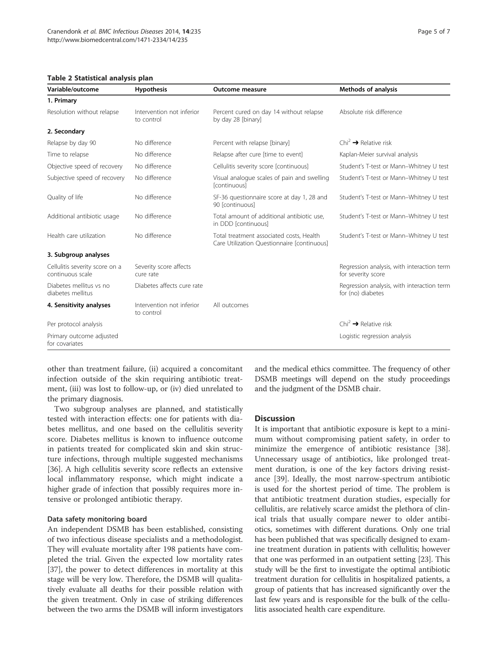Table 2 Statistical analysis plan

| Variable/outcome                                   | <b>Hypothesis</b>                       | Outcome measure                                                                         | <b>Methods of analysis</b>                                       |
|----------------------------------------------------|-----------------------------------------|-----------------------------------------------------------------------------------------|------------------------------------------------------------------|
| 1. Primary                                         |                                         |                                                                                         |                                                                  |
| Resolution without relapse                         | Intervention not inferior<br>to control | Percent cured on day 14 without relapse<br>by day 28 [binary]                           | Absolute risk difference                                         |
| 2. Secondary                                       |                                         |                                                                                         |                                                                  |
| Relapse by day 90                                  | No difference                           | Percent with relapse [binary]                                                           | $\text{Chi}^2 \rightarrow \text{Relative risk}$                  |
| Time to relapse                                    | No difference                           | Relapse after cure [time to event]                                                      | Kaplan-Meier survival analysis                                   |
| Objective speed of recovery                        | No difference                           | Cellulitis severity score [continuous]                                                  | Student's T-test or Mann-Whitney U test                          |
| Subjective speed of recovery                       | No difference                           | Visual analogue scales of pain and swelling<br>[continuous]                             | Student's T-test or Mann-Whitney U test                          |
| Quality of life                                    | No difference                           | SF-36 questionnaire score at day 1, 28 and<br>90 [continuous]                           | Student's T-test or Mann-Whitney U test                          |
| Additional antibiotic usage                        | No difference                           | Total amount of additional antibiotic use,<br>in DDD [continuous]                       | Student's T-test or Mann-Whitney U test                          |
| Health care utilization                            | No difference                           | Total treatment associated costs, Health<br>Care Utilization Questionnaire [continuous] | Student's T-test or Mann-Whitney U test                          |
| 3. Subgroup analyses                               |                                         |                                                                                         |                                                                  |
| Cellulitis severity score on a<br>continuous scale | Severity score affects<br>cure rate     |                                                                                         | Regression analysis, with interaction term<br>for severity score |
| Diabetes mellitus vs no<br>diabetes mellitus       | Diabetes affects cure rate              |                                                                                         | Regression analysis, with interaction term<br>for (no) diabetes  |
| 4. Sensitivity analyses                            | Intervention not inferior<br>to control | All outcomes                                                                            |                                                                  |
| Per protocol analysis                              |                                         |                                                                                         | $Chi^2 \rightarrow Relative risk$                                |
| Primary outcome adjusted<br>for covariates         |                                         |                                                                                         | Logistic regression analysis                                     |

other than treatment failure, (ii) acquired a concomitant infection outside of the skin requiring antibiotic treatment, (iii) was lost to follow-up, or (iv) died unrelated to the primary diagnosis.

Two subgroup analyses are planned, and statistically tested with interaction effects: one for patients with diabetes mellitus, and one based on the cellulitis severity score. Diabetes mellitus is known to influence outcome in patients treated for complicated skin and skin structure infections, through multiple suggested mechanisms [36]. A high cellulitis severity score reflects an extensive local inflammatory response, which might indicate a higher grade of infection that possibly requires more intensive or prolonged antibiotic therapy.

#### Data safety monitoring board

An independent DSMB has been established, consisting of two infectious disease specialists and a methodologist. They will evaluate mortality after 198 patients have completed the trial. Given the expected low mortality rates [37], the power to detect differences in mortality at this stage will be very low. Therefore, the DSMB will qualitatively evaluate all deaths for their possible relation with the given treatment. Only in case of striking differences between the two arms the DSMB will inform investigators and the medical ethics committee. The frequency of other DSMB meetings will depend on the study proceedings and the judgment of the DSMB chair.

#### **Discussion**

It is important that antibiotic exposure is kept to a minimum without compromising patient safety, in order to minimize the emergence of antibiotic resistance [38]. Unnecessary usage of antibiotics, like prolonged treatment duration, is one of the key factors driving resistance [39]. Ideally, the most narrow-spectrum antibiotic is used for the shortest period of time. The problem is that antibiotic treatment duration studies, especially for cellulitis, are relatively scarce amidst the plethora of clinical trials that usually compare newer to older antibiotics, sometimes with different durations. Only one trial has been published that was specifically designed to examine treatment duration in patients with cellulitis; however that one was performed in an outpatient setting [23]. This study will be the first to investigate the optimal antibiotic treatment duration for cellulitis in hospitalized patients, a group of patients that has increased significantly over the last few years and is responsible for the bulk of the cellulitis associated health care expenditure.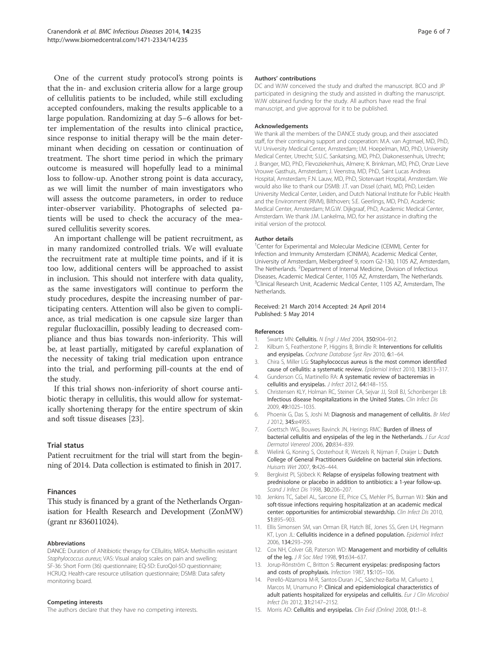One of the current study protocol's strong points is that the in- and exclusion criteria allow for a large group of cellulitis patients to be included, while still excluding accepted confounders, making the results applicable to a large population. Randomizing at day 5–6 allows for better implementation of the results into clinical practice, since response to initial therapy will be the main determinant when deciding on cessation or continuation of treatment. The short time period in which the primary outcome is measured will hopefully lead to a minimal loss to follow-up. Another strong point is data accuracy, as we will limit the number of main investigators who will assess the outcome parameters, in order to reduce inter-observer variability. Photographs of selected patients will be used to check the accuracy of the measured cellulitis severity scores.

An important challenge will be patient recruitment, as in many randomized controlled trials. We will evaluate the recruitment rate at multiple time points, and if it is too low, additional centers will be approached to assist in inclusion. This should not interfere with data quality, as the same investigators will continue to perform the study procedures, despite the increasing number of participating centers. Attention will also be given to compliance, as trial medication is one capsule size larger than regular flucloxacillin, possibly leading to decreased compliance and thus bias towards non-inferiority. This will be, at least partially, mitigated by careful explanation of the necessity of taking trial medication upon entrance into the trial, and performing pill-counts at the end of the study.

If this trial shows non-inferiority of short course antibiotic therapy in cellulitis, this would allow for systematically shortening therapy for the entire spectrum of skin and soft tissue diseases [23].

#### Trial status

Patient recruitment for the trial will start from the beginning of 2014. Data collection is estimated to finish in 2017.

#### Finances

This study is financed by a grant of the Netherlands Organisation for Health Research and Development (ZonMW) (grant nr 836011024).

#### Abbreviations

DANCE: Duration of ANtibiotic therapy for CEllulitis; MRSA: Methicillin resistant Staphylococcus aureus; VAS: Visual analog scales on pain and swelling; SF-36: Short Form (36) questionnaire; EQ-5D: EuroQol-5D questionnaire; HCRUQ: Health-care resource utilisation questionnaire; DSMB: Data safety monitoring board.

#### Competing interests

The authors declare that they have no competing interests.

#### Authors' contributions

DC and WJW conceived the study and drafted the manuscript. BCO and JP participated in designing the study and assisted in drafting the manuscript. WJW obtained funding for the study. All authors have read the final manuscript, and give approval for it to be published.

#### Acknowledgements

We thank all the members of the DANCE study group, and their associated staff, for their continuing support and cooperation: M.A. van Agtmael, MD, PhD, VU University Medical Center, Amsterdam; I.M. Hoepelman, MD, PhD, University Medical Center, Utrecht; S.U.C. Sankatsing, MD, PhD, Diakonessenhuis, Utrecht; J. Branger, MD, PhD, Flevoziekenhuis, Almere; K. Brinkman, MD, PhD, Onze Lieve Vrouwe Gasthuis, Amsterdam; J. Veenstra, MD, PhD, Saint Lucas Andreas Hospital, Amsterdam; F.N. Lauw, MD, PhD, Slotervaart Hospital, Amsterdam. We would also like to thank our DSMB: J.T. van Dissel (chair), MD, PhD, Leiden University Medical Center, Leiden, and Dutch National Institute for Public Health and the Environment (RIVM), Bilthoven; S.E. Geerlings, MD, PhD, Academic Medical Center, Amsterdam; M.G.W. Dijkgraaf, PhD, Academic Medical Center, Amsterdam. We thank J.M. Lankelma, MD, for her assistance in drafting the initial version of the protocol.

#### Author details

<sup>1</sup> Center for Experimental and Molecular Medicine (CEMM), Center for Infection and Immunity Amsterdam (CINIMA), Academic Medical Center, University of Amsterdam, Meibergdreef 9, room G2-130, 1105 AZ, Amsterdam, The Netherlands. <sup>2</sup>Department of Internal Medicine, Division of Infectious Diseases, Academic Medical Center, 1105 AZ, Amsterdam, The Netherlands. <sup>3</sup>Clinical Research Unit, Academic Medical Center, 1105 AZ, Amsterdam, The **Netherlands** 

#### Received: 21 March 2014 Accepted: 24 April 2014 Published: 5 May 2014

#### References

- 1. Swartz MN: Cellulitis. N Engl J Med 2004, 350:904-912.
- 2. Kilburn S, Featherstone P, Higgins B, Brindle R: Interventions for cellulitis and erysipelas. Cochrane Database Syst Rev 2010, 6:1–64.
- 3. Chira S, Miller LG: Staphylococcus aureus is the most common identified cause of cellulitis: a systematic review. Epidemiol Infect 2010, 138:313–317.
- 4. Gunderson CG, Martinello RA: A systematic review of bacteremias in cellulitis and erysipelas. J Infect 2012, 64:148–155.
- 5. Christensen KLY, Holman RC, Steiner CA, Sejvar JJ, Stoll BJ, Schonberger LB: Infectious disease hospitalizations in the United States. Clin Infect Dis 2009, 49:1025–1035.
- 6. Phoenix G, Das S, Joshi M: Diagnosis and management of cellulitis. Br Med J 2012, 345:e4955.
- 7. Goettsch WG, Bouwes Bavinck JN, Herings RMC: Burden of illness of bacterial cellulitis and erysipelas of the leg in the Netherlands. J Eur Acad Dermatol Venereol 2006, 20:834–839.
- 8. Wielink G, Koning S, Oosterhout R, Wetzels R, Nijman F, Draijer L: Dutch College of General Practitioners Guideline on bacterial skin infections. Huisarts Wet 2007, 9:426–444.
- 9. Bergkvist PI, Sjöbeck K: Relapse of erysipelas following treatment with prednisolone or placebo in addition to antibiotics: a 1-year follow-up. Scand J Infect Dis 1998, 30:206-207.
- 10. Jenkins TC, Sabel AL, Sarcone EE, Price CS, Mehler PS, Burman WJ: Skin and soft-tissue infections requiring hospitalization at an academic medical center: opportunities for antimicrobial stewardship. Clin Infect Dis 2010, 51:895–903.
- 11. Ellis Simonsen SM, van Orman ER, Hatch BE, Jones SS, Gren LH, Hegmann KT, Lyon JL: Cellulitis incidence in a defined population. Epidemiol Infect 2006, 134:293–299.
- 12. Cox NH, Colver GB, Paterson WD: Management and morbidity of cellulitis of the leg. J R Soc Med 1998, 91:634–637.
- 13. Jorup-Rönström C, Britton S: Recurrent erysipelas: predisposing factors and costs of prophylaxis. Infection 1987, 15:105–106.
- 14. Perelló-Alzamora M-R, Santos-Duran J-C, Sánchez-Barba M, Cañueto J, Marcos M, Unamuno P: Clinical and epidemiological characteristics of adult patients hospitalized for erysipelas and cellulitis. Eur J Clin Microbiol Infect Dis 2012, 31:2147–2152.
- 15. Morris AD: Cellulitis and erysipelas. Clin Evid (Online) 2008, 01:1-8.